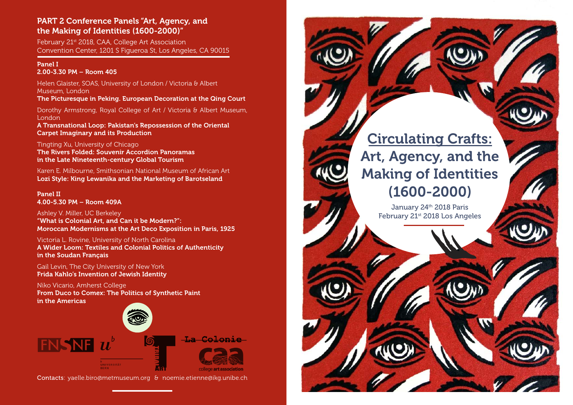# PART 2 Conference Panels "Art, Agency, and the Making of Identities (1600-2000)"

February 21st 2018, CAA, College Art Association Convention Center, 1201 S Figueroa St, Los Angeles, CA 90015

# Panel I 2.00-3.30 PM – Room 405

Helen Glaister, SOAS, University of London / Victoria & Albert Museum, London

The Picturesque in Peking. European Decoration at the Qing Court

Dorothy Armstrong, Royal College of Art / Victoria & Albert Museum, London

A Transnational Loop: Pakistan's Repossession of the Oriental Carpet Imaginary and its Production

Tingting Xu, University of Chicago The Rivers Folded: Souvenir Accordion Panoramas in the Late Nineteenth-century Global Tourism

Karen E. Milbourne, Smithsonian National Museum of African Art Lozi Style: King Lewanika and the Marketing of Barotseland

Panel II 4.00-5.30 PM – Room 409A

Ashley V. Miller, UC Berkeley "What is Colonial Art, and Can it be Modern?": Moroccan Modernisms at the Art Deco Exposition in Paris, 1925

Victoria L. Rovine, University of North Carolina A Wider Loom: Textiles and Colonial Politics of Authenticity in the Soudan Français

Gail Levin, The City University of New York Frida Kahlo's Invention of Jewish Identity

Niko Vicario, Amherst College From Duco to Comex: The Politics of Synthetic Paint in the Americas



Contacts: yaelle.biro@metmuseum.org & noemie.etienne@ikg.unibe.ch



January 24th 2018 Paris February 21st 2018 Los Angeles